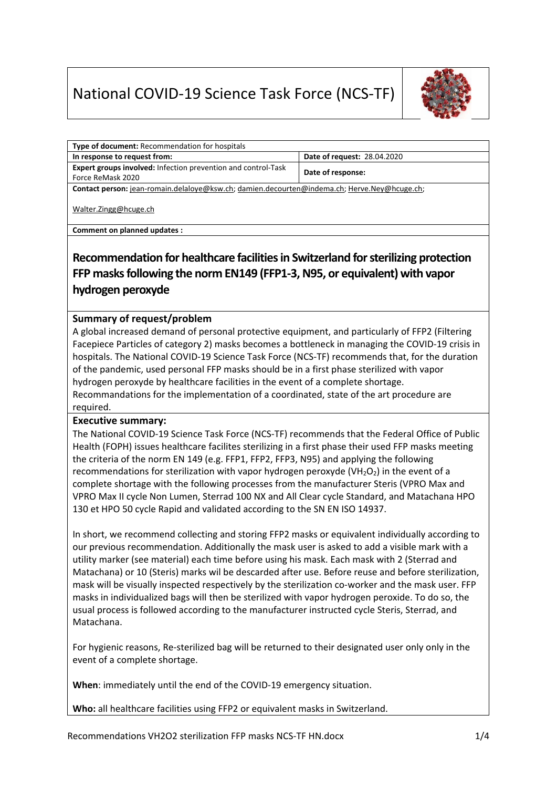# National COVID‐19 Science Task Force (NCS‐TF)



| <b>Type of document: Recommendation for hospitals</b>                                                                                                                                 |                             |
|---------------------------------------------------------------------------------------------------------------------------------------------------------------------------------------|-----------------------------|
| In response to request from:                                                                                                                                                          | Date of request: 28.04.2020 |
| Expert groups involved: Infection prevention and control-Task                                                                                                                         | Date of response:           |
| Force ReMask 2020                                                                                                                                                                     |                             |
| Contact person: jean-romain.delaloye@ksw.ch; damien.decourten@indema.ch; Herve.Ney@hcuge.ch;                                                                                          |                             |
| Walter.Zingg@hcuge.ch                                                                                                                                                                 |                             |
| Comment on planned updates :                                                                                                                                                          |                             |
| Recommendation for healthcare facilities in Switzerland for sterilizing protection<br>FFP masks following the norm EN149 (FFP1-3, N95, or equivalent) with vapor<br>hydrogen peroxyde |                             |

#### **Summary of request/problem**

A global increased demand of personal protective equipment, and particularly of FFP2 (Filtering Facepiece Particles of category 2) masks becomes a bottleneck in managing the COVID‐19 crisis in hospitals. The National COVID‐19 Science Task Force (NCS‐TF) recommends that, for the duration of the pandemic, used personal FFP masks should be in a first phase sterilized with vapor hydrogen peroxyde by healthcare facilities in the event of a complete shortage. Recommandations for the implementation of a coordinated, state of the art procedure are required.

#### **Executive summary:**

The National COVID‐19 Science Task Force (NCS‐TF) recommends that the Federal Office of Public Health (FOPH) issues healthcare facilites sterilizing in a first phase their used FFP masks meeting the criteria of the norm EN 149 (e.g. FFP1, FFP2, FFP3, N95) and applying the following recommendations for sterilization with vapor hydrogen peroxyde ( $VH_2O_2$ ) in the event of a complete shortage with the following processes from the manufacturer Steris (VPRO Max and VPRO Max II cycle Non Lumen, Sterrad 100 NX and All Clear cycle Standard, and Matachana HPO 130 et HPO 50 cycle Rapid and validated according to the SN EN ISO 14937.

In short, we recommend collecting and storing FFP2 masks or equivalent individually according to our previous recommendation. Additionally the mask user is asked to add a visible mark with a utility marker (see material) each time before using his mask. Each mask with 2 (Sterrad and Matachana) or 10 (Steris) marks wil be descarded after use. Before reuse and before sterilization, mask will be visually inspected respectively by the sterilization co-worker and the mask user. FFP masks in individualized bags will then be sterilized with vapor hydrogen peroxide. To do so, the usual process is followed according to the manufacturer instructed cycle Steris, Sterrad, and Matachana.

For hygienic reasons, Re‐sterilized bag will be returned to their designated user only only in the event of a complete shortage.

**When**: immediately until the end of the COVID‐19 emergency situation.

**Who:** all healthcare facilities using FFP2 or equivalent masks in Switzerland.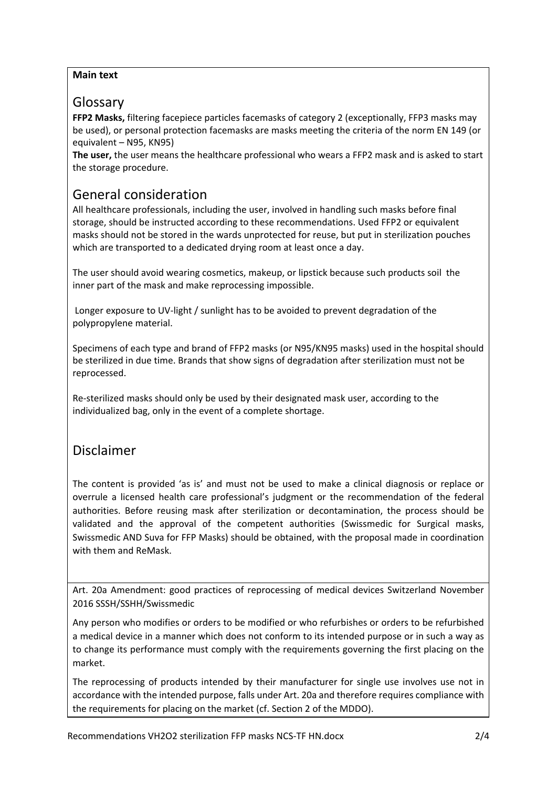#### **Main text**

### Glossary

**FFP2 Masks,** filtering facepiece particles facemasks of category 2 (exceptionally, FFP3 masks may be used), or personal protection facemasks are masks meeting the criteria of the norm EN 149 (or equivalent – N95, KN95)

**The user,** the user means the healthcare professional who wears a FFP2 mask and is asked to start the storage procedure.

## General consideration

All healthcare professionals, including the user, involved in handling such masks before final storage, should be instructed according to these recommendations. Used FFP2 or equivalent masks should not be stored in the wards unprotected for reuse, but put in sterilization pouches which are transported to a dedicated drying room at least once a day.

The user should avoid wearing cosmetics, makeup, or lipstick because such products soil the inner part of the mask and make reprocessing impossible.

 Longer exposure to UV‐light / sunlight has to be avoided to prevent degradation of the polypropylene material.

Specimens of each type and brand of FFP2 masks (or N95/KN95 masks) used in the hospital should be sterilized in due time. Brands that show signs of degradation after sterilization must not be reprocessed.

Re‐sterilized masks should only be used by their designated mask user, according to the individualized bag, only in the event of a complete shortage.

## Disclaimer

The content is provided 'as is' and must not be used to make a clinical diagnosis or replace or overrule a licensed health care professional's iudgment or the recommendation of the federal authorities. Before reusing mask after sterilization or decontamination, the process should be validated and the approval of the competent authorities (Swissmedic for Surgical masks, Swissmedic AND Suva for FFP Masks) should be obtained, with the proposal made in coordination with them and ReMask.

Art. 20a Amendment: good practices of reprocessing of medical devices Switzerland November 2016 SSSH/SSHH/Swissmedic

Any person who modifies or orders to be modified or who refurbishes or orders to be refurbished a medical device in a manner which does not conform to its intended purpose or in such a way as to change its performance must comply with the requirements governing the first placing on the market.

The reprocessing of products intended by their manufacturer for single use involves use not in accordance with the intended purpose, falls under Art. 20a and therefore requires compliance with the requirements for placing on the market (cf. Section 2 of the MDDO).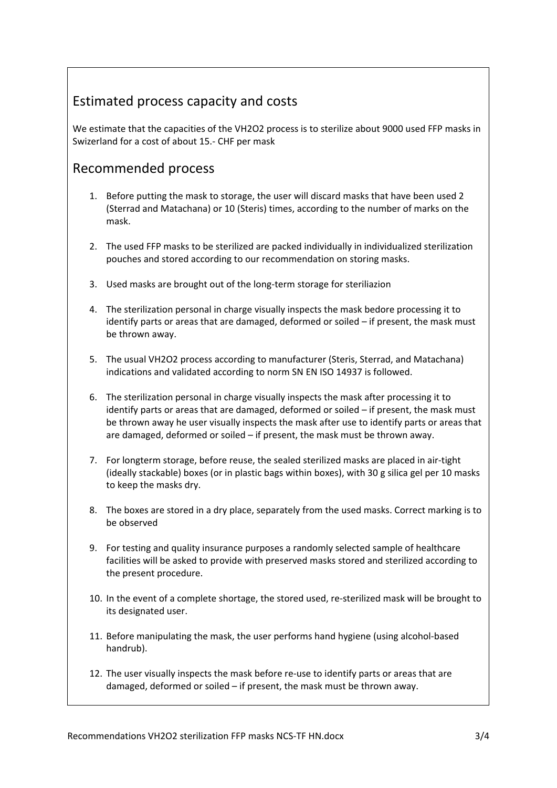# Estimated process capacity and costs

We estimate that the capacities of the VH2O2 process is to sterilize about 9000 used FFP masks in Swizerland for a cost of about 15.‐ CHF per mask

## Recommended process

- 1. Before putting the mask to storage, the user will discard masks that have been used 2 (Sterrad and Matachana) or 10 (Steris) times, according to the number of marks on the mask.
- 2. The used FFP masks to be sterilized are packed individually in individualized sterilization pouches and stored according to our recommendation on storing masks.
- 3. Used masks are brought out of the long‐term storage for steriliazion
- 4. The sterilization personal in charge visually inspects the mask bedore processing it to identify parts or areas that are damaged, deformed or soiled – if present, the mask must be thrown away.
- 5. The usual VH2O2 process according to manufacturer (Steris, Sterrad, and Matachana) indications and validated according to norm SN EN ISO 14937 is followed.
- 6. The sterilization personal in charge visually inspects the mask after processing it to identify parts or areas that are damaged, deformed or soiled – if present, the mask must be thrown away he user visually inspects the mask after use to identify parts or areas that are damaged, deformed or soiled – if present, the mask must be thrown away.
- 7. For longterm storage, before reuse, the sealed sterilized masks are placed in air‐tight (ideally stackable) boxes (or in plastic bags within boxes), with 30 g silica gel per 10 masks to keep the masks dry.
- 8. The boxes are stored in a dry place, separately from the used masks. Correct marking is to be observed
- 9. For testing and quality insurance purposes a randomly selected sample of healthcare facilities will be asked to provide with preserved masks stored and sterilized according to the present procedure.
- 10. In the event of a complete shortage, the stored used, re-sterilized mask will be brought to its designated user.
- 11. Before manipulating the mask, the user performs hand hygiene (using alcohol‐based handrub).
- 12. The user visually inspects the mask before re-use to identify parts or areas that are damaged, deformed or soiled – if present, the mask must be thrown away.